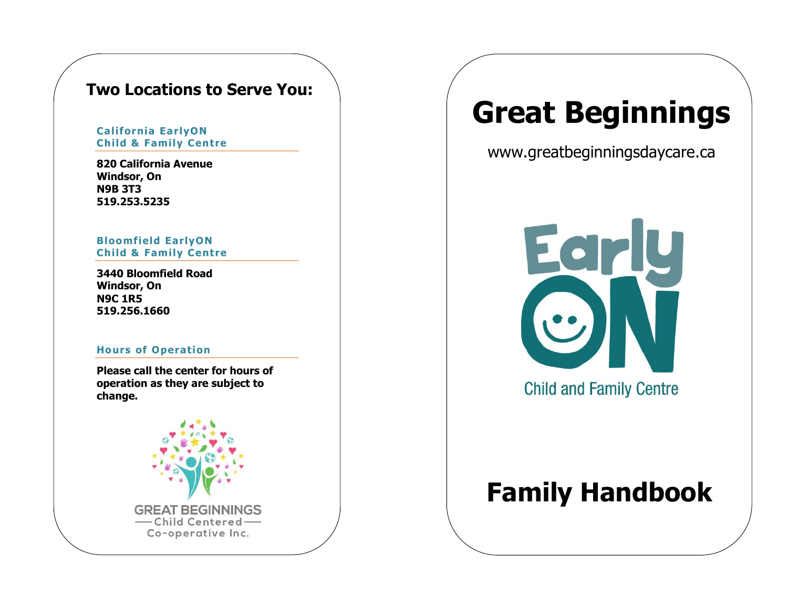### **Two Locations to Serve You:**

#### **California EarlyON Child & Family Centre**

**820 California Avenue Windsor, On N9B 3T3 519.253.5235**

#### **Bloomfield EarlyON Child & Family Centre**

**3440 Bloomfield Road Windsor, On N9C 1R5 519.256.1660**

#### **Hours of Operation**

**Please call the center for hours of operation as they are subject to change.**



# **Great Beginnings**

www.greatbeginningsdaycare.ca



**Child and Family Centre** 

## **Family Handbook**